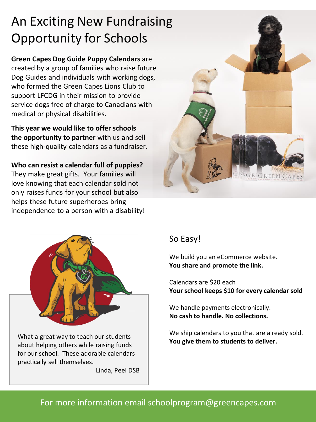# An Exciting New Fundraising Opportunity for Schools

**Green Capes Dog Guide Puppy Calendars** are created by a group of families who raise future Dog Guides and individuals with working dogs, who formed the Green Capes Lions Club to support LFCDG in their mission to provide service dogs free of charge to Canadians with medical or physical disabilities.

**This year we would like to offer schools the opportunity to partner** with us and sell these high-quality calendars as a fundraiser.

**Who can resist a calendar full of puppies?**  They make great gifts. Your families will love knowing that each calendar sold not only raises funds for your school but also helps these future superheroes bring independence to a person with a disability!



What a great way to teach our students about helping others while raising funds for our school. These adorable calendars practically sell themselves.

Linda, Peel DSB



### So Easy!

We build you an eCommerce website. **You share and promote the link.**

Calendars are \$20 each **Your school keeps \$10 for every calendar sold**

We handle payments electronically. **No cash to handle. No collections.**

We ship calendars to you that are already sold. **You give them to students to deliver.**

### For more information email schoolprogram@greencapes.com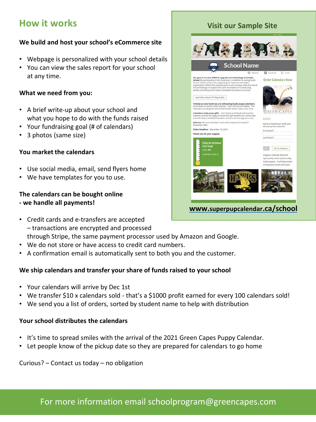### **How it works**

#### **We build and host your school's eCommerce site**

- Webpage is personalized with your school details
- You can view the sales report for your school at any time.

#### **What we need from you:**

- A brief write-up about your school and what you hope to do with the funds raised
- Your fundraising goal (# of calendars)
- 3 photos (same size)

#### **You market the calendars**

- Use social media, email, send flyers home
- We have templates for you to use.

#### **The calendars can be bought online - we handle all payments!**

- Credit cards and e-transfers are accepted – transactions are encrypted and processed through Stripe, the same payment processor used by Amazon and Google.
- We do not store or have access to credit card numbers.
- A confirmation email is automatically sent to both you and the customer.

#### **We ship calendars and transfer your share of funds raised to your school**

- Your calendars will arrive by Dec 1st
- We transfer \$10 x calendars sold that's a \$1000 profit earned for every 100 calendars sold!
- We send you a list of orders, sorted by student name to help with distribution

#### **Your school distributes the calendars**

- It's time to spread smiles with the arrival of the 2021 Green Capes Puppy Calendar.
- Let people know of the pickup date so they are prepared for calendars to go home

Curious? – Contact us today – no obligation

#### **Visit our Sample Site**

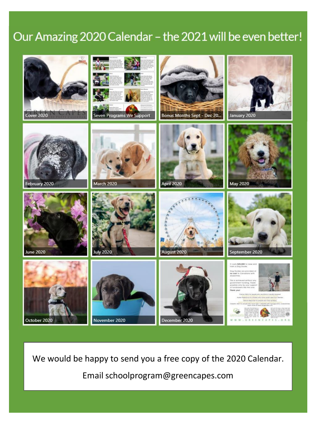## Our Amazing 2020 Calendar - the 2021 will be even better!



We would be happy to send you a free copy of the 2020 Calendar.

Email schoolprogram@greencapes.com